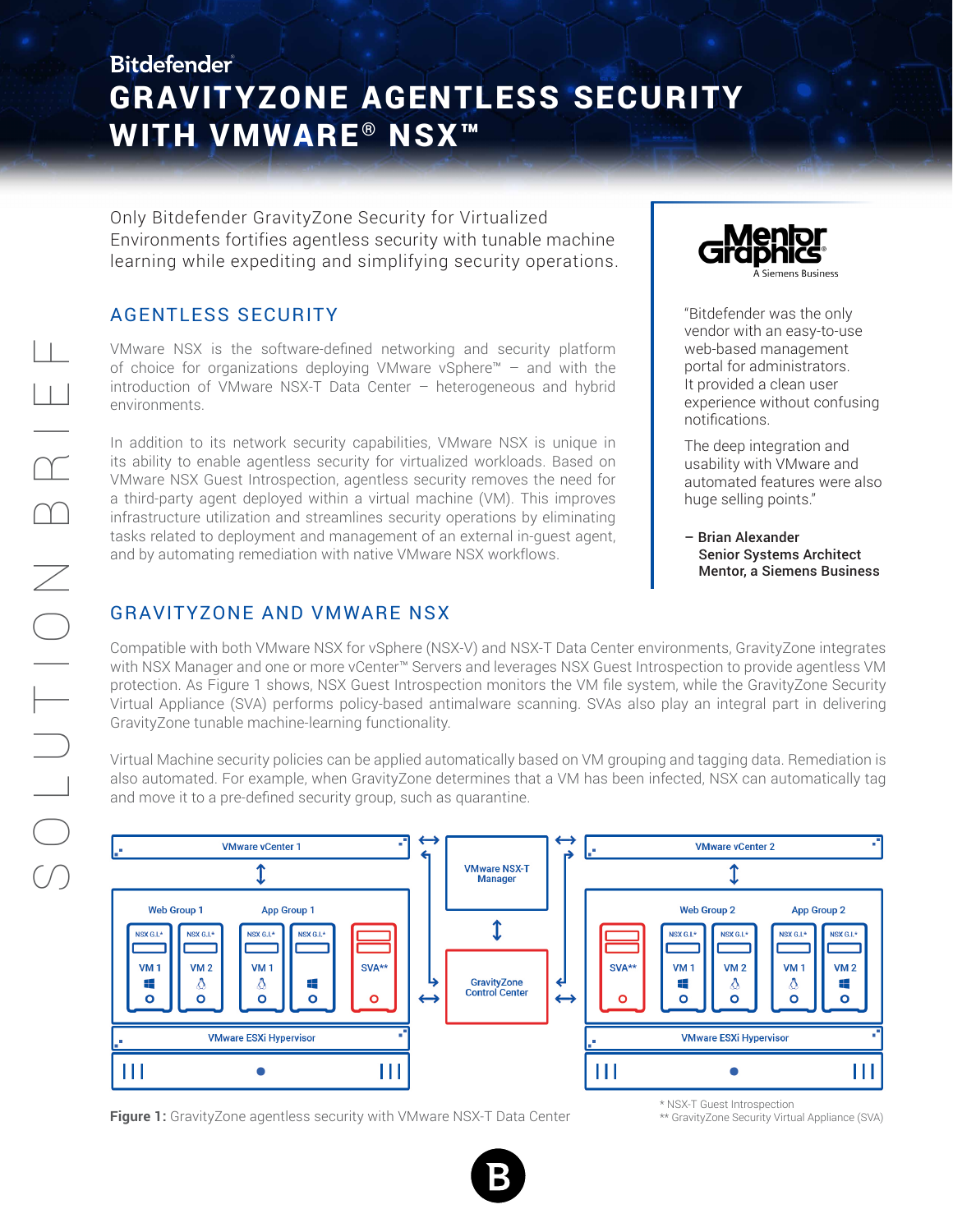## **Bitdefender** GRAVITYZONE AGENTLESS SECURITY WITH VMWARE<sup>®</sup> NSX<sup>™</sup>

Only Bitdefender GravityZone Security for Virtualized Environments fortifies agentless security with tunable machine learning while expediting and simplifying security operations.

## AGENTLESS SECURITY

VMware NSX is the software-defined networking and security platform of choice for organizations deploying VMware vSphere™ – and with the introduction of VMware NSX-T Data Center – heterogeneous and hybrid environments.

In addition to its network security capabilities, VMware NSX is unique in its ability to enable agentless security for virtualized workloads. Based on VMware NSX Guest Introspection, agentless security removes the need for a third-party agent deployed within a virtual machine (VM). This improves infrastructure utilization and streamlines security operations by eliminating tasks related to deployment and management of an external in-guest agent, and by automating remediation with native VMware NSX workflows.



"Bitdefender was the only vendor with an easy-to-use web-based management portal for administrators. It provided a clean user experience without confusing notifications.

The deep integration and usability with VMware and automated features were also huge selling points."

– Brian Alexander Senior Systems Architect Mentor, a Siemens Business

## GRAVITYZONE AND VMWARE NSX

Compatible with both VMware NSX for vSphere (NSX-V) and NSX-T Data Center environments, GravityZone integrates with NSX Manager and one or more vCenter™ Servers and leverages NSX Guest Introspection to provide agentless VM protection. As Figure 1 shows, NSX Guest Introspection monitors the VM file system, while the GravityZone Security Virtual Appliance (SVA) performs policy-based antimalware scanning. SVAs also play an integral part in delivering GravityZone tunable machine-learning functionality.

Virtual Machine security policies can be applied automatically based on VM grouping and tagging data. Remediation is also automated. For example, when GravityZone determines that a VM has been infected, NSX can automatically tag and move it to a pre-defined security group, such as quarantine.



**Figure 1:** GravityZone agentless security with VMware NSX-T Data Center

\* NSX-T Guest Introspection

\*\* GravityZone Security Virtual Appliance (SVA)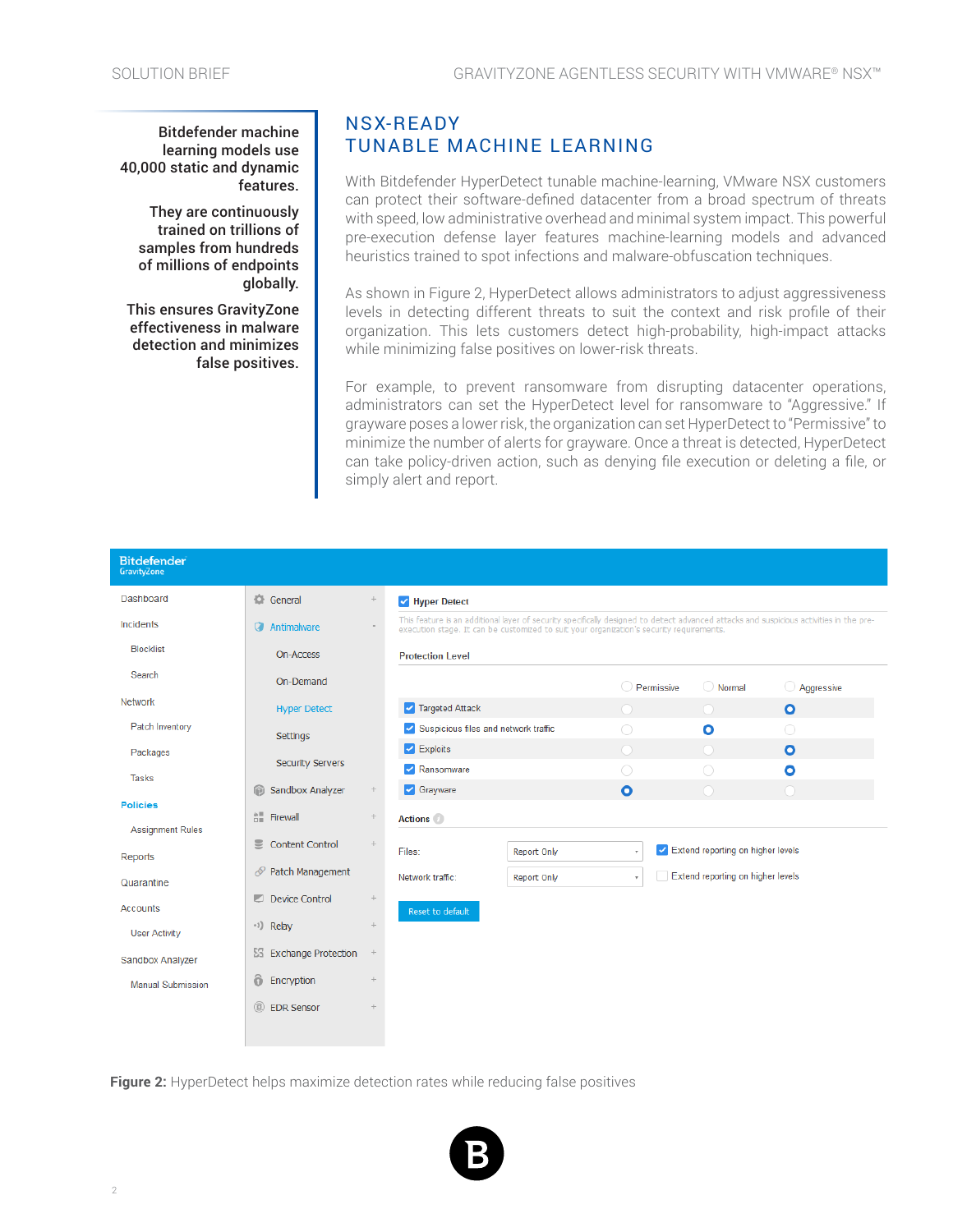Bitdefender machine learning models use 40,000 static and dynamic features.

They are continuously trained on trillions of samples from hundreds of millions of endpoints globally.

This ensures GravityZone effectiveness in malware detection and minimizes false positives.

## NSX-READY TUNABLE MACHINE LEARNING

With Bitdefender HyperDetect tunable machine-learning, VMware NSX customers can protect their software-defined datacenter from a broad spectrum of threats with speed, low administrative overhead and minimal system impact. This powerful pre-execution defense layer features machine-learning models and advanced heuristics trained to spot infections and malware-obfuscation techniques.

As shown in Figure 2, HyperDetect allows administrators to adjust aggressiveness levels in detecting different threats to suit the context and risk profile of their organization. This lets customers detect high-probability, high-impact attacks while minimizing false positives on lower-risk threats.

For example, to prevent ransomware from disrupting datacenter operations, administrators can set the HyperDetect level for ransomware to "Aggressive." If grayware poses a lower risk, the organization can set HyperDetect to "Permissive" to minimize the number of alerts for grayware. Once a threat is detected, HyperDetect can take policy-driven action, such as denying file execution or deleting a file, or simply alert and report.

| <b>Bitdefender</b><br>GravityZone |                                    |                 |
|-----------------------------------|------------------------------------|-----------------|
| Dashboard                         | General                            | $+$             |
| Incidents                         | Antimalware                        |                 |
| <b>Blocklist</b>                  | On-Access                          |                 |
| Search                            | On-Demand                          |                 |
| <b>Network</b>                    | <b>Hyper Detect</b>                |                 |
| Patch Inventory                   | Settings                           |                 |
| Packages                          | <b>Security Servers</b>            |                 |
| <b>Tasks</b>                      | Sandbox Analyzer                   |                 |
| <b>Policies</b>                   | $\hat{\mathbb{H}}$ Firewall        | $\! + \!\!\!\!$ |
| <b>Assignment Rules</b>           | $\equiv$<br><b>Content Control</b> | $+$             |
| <b>Reports</b>                    |                                    |                 |
| Quarantine                        | <i>S</i> Patch Management          |                 |
| <b>Accounts</b>                   | Device Control                     | $+$             |
| <b>User Activity</b>              | <sup>e3</sup> ) Relay              | $+$             |
| Sandbox Analyzer                  | ES Exchange Protection             | $\! +$          |
| <b>Manual Submission</b>          | ô<br>Encryption                    | $\ddot{}$       |
|                                   | $\circledR$<br><b>EDR Sensor</b>   | $+$             |
|                                   |                                    |                 |

**Figure 2:** HyperDetect helps maximize detection rates while reducing false positives

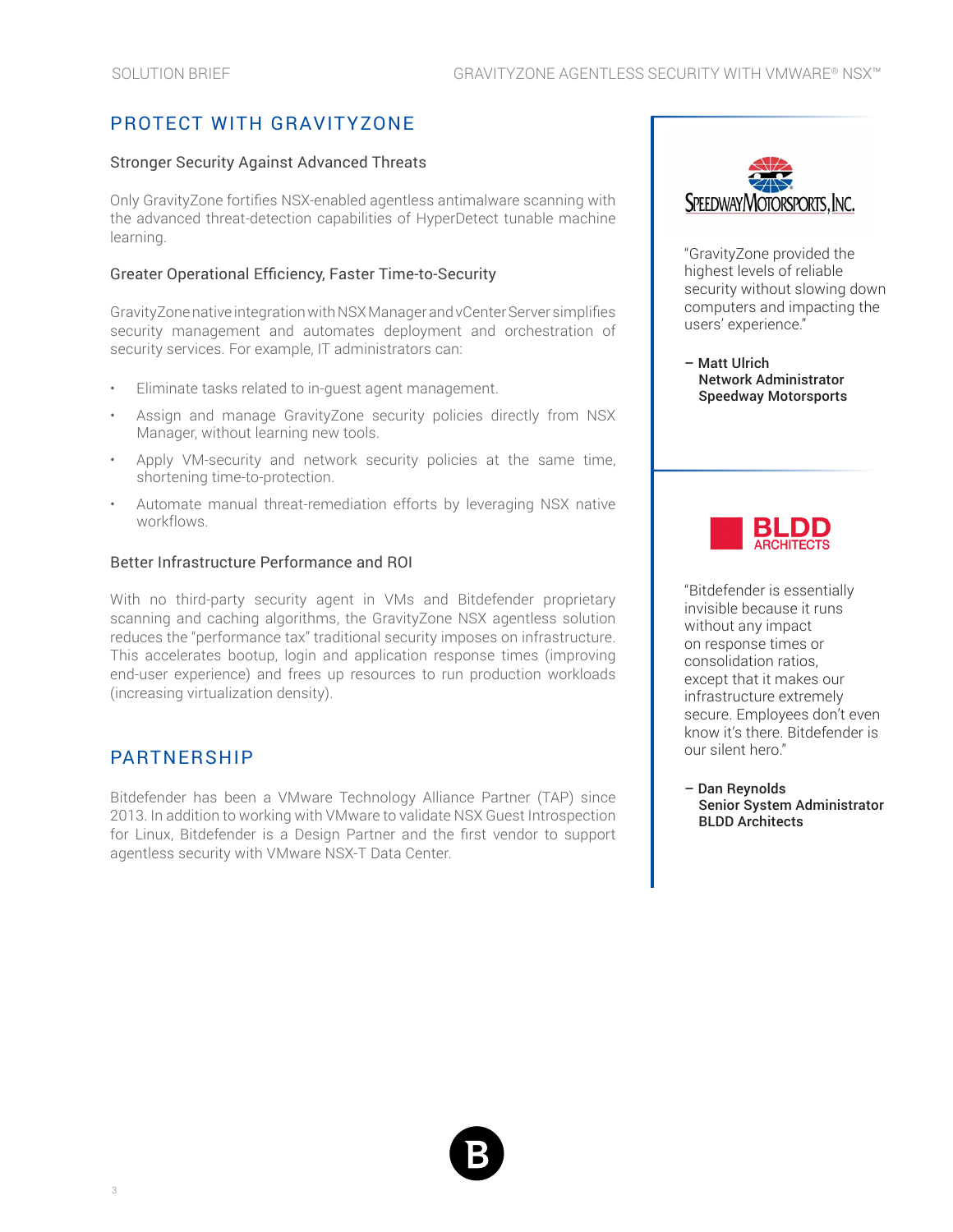## PROTECT WITH GRAVITYZONE

#### Stronger Security Against Advanced Threats

Only GravityZone fortifies NSX-enabled agentless antimalware scanning with the advanced threat-detection capabilities of HyperDetect tunable machine learning.

#### Greater Operational Efficiency, Faster Time-to-Security

GravityZone native integration with NSX Manager and vCenter Server simplifies security management and automates deployment and orchestration of security services. For example, IT administrators can:

- Eliminate tasks related to in-quest agent management.
- Assign and manage GravityZone security policies directly from NSX Manager, without learning new tools.
- Apply VM-security and network security policies at the same time, shortening time-to-protection.
- Automate manual threat-remediation efforts by leveraging NSX native workflows.

#### Better Infrastructure Performance and ROI

With no third-party security agent in VMs and Bitdefender proprietary scanning and caching algorithms, the GravityZone NSX agentless solution reduces the "performance tax" traditional security imposes on infrastructure. This accelerates bootup, login and application response times (improving end-user experience) and frees up resources to run production workloads (increasing virtualization density).

### PARTNERSHIP

Bitdefender has been a VMware Technology Alliance Partner (TAP) since 2013. In addition to working with VMware to validate NSX Guest Introspection for Linux, Bitdefender is a Design Partner and the first vendor to support agentless security with VMware NSX-T Data Center.



"GravityZone provided the highest levels of reliable security without slowing down computers and impacting the users' experience."

– Matt Ulrich Network Administrator Speedway Motorsports



"Bitdefender is essentially invisible because it runs without any impact on response times or consolidation ratios, except that it makes our infrastructure extremely secure. Employees don't even know it's there. Bitdefender is our silent hero."

– Dan Reynolds Senior System Administrator BLDD Architects